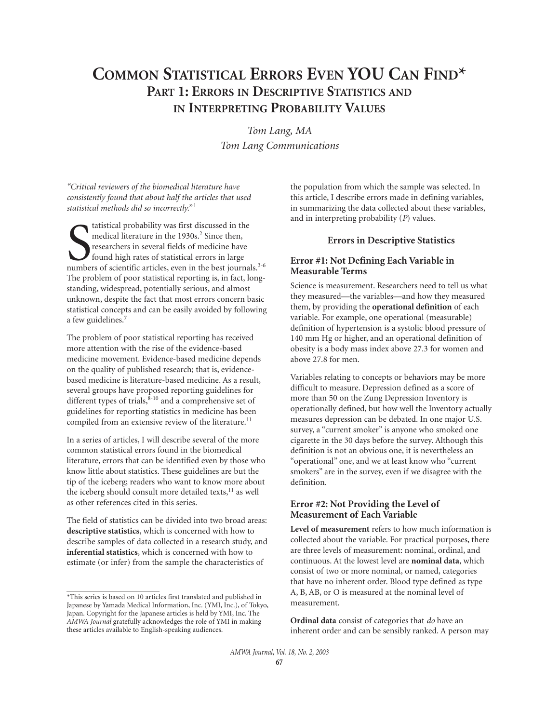# **COMMON STATISTICAL ERRORS EVEN YOU CAN FIND\* PART 1: ERRORS IN DESCRIPTIVE STATISTICS AND IN INTERPRETING PROBABILITY VALUES**

*Tom Lang, MA Tom Lang Communications*

*"Critical reviewers of the biomedical literature have consistently found that about half the articles that used statistical methods did so incorrectly."* <sup>1</sup>

tatistical probability was first discussed in the medical literature in the 1930s.<sup>2</sup> Since then, researchers in several fields of medicine have found high rates of statistical errors in large numbers of scientific article tatistical probability was first discussed in the medical literature in the 1930s.<sup>2</sup> Since then, researchers in several fields of medicine have found high rates of statistical errors in large The problem of poor statistical reporting is, in fact, longstanding, widespread, potentially serious, and almost unknown, despite the fact that most errors concern basic statistical concepts and can be easily avoided by following a few guidelines.<sup>7</sup>

The problem of poor statistical reporting has received more attention with the rise of the evidence-based medicine movement. Evidence-based medicine depends on the quality of published research; that is, evidencebased medicine is literature-based medicine. As a result, several groups have proposed reporting guidelines for different types of trials, $8-10$  and a comprehensive set of guidelines for reporting statistics in medicine has been compiled from an extensive review of the literature.<sup>11</sup>

In a series of articles, I will describe several of the more common statistical errors found in the biomedical literature, errors that can be identified even by those who know little about statistics. These guidelines are but the tip of the iceberg; readers who want to know more about the iceberg should consult more detailed texts,<sup>11</sup> as well as other references cited in this series.

The field of statistics can be divided into two broad areas: **descriptive statistics**, which is concerned with how to describe samples of data collected in a research study, and **inferential statistics**, which is concerned with how to estimate (or infer) from the sample the characteristics of

the population from which the sample was selected. In this article, I describe errors made in defining variables, in summarizing the data collected about these variables, and in interpreting probability (*P*) values.

## **Errors in Descriptive Statistics**

# **Error #1: Not Defining Each Variable in Measurable Terms**

Science is measurement. Researchers need to tell us what they measured—the variables—and how they measured them, by providing the **operational definition** of each variable. For example, one operational (measurable) definition of hypertension is a systolic blood pressure of 140 mm Hg or higher, and an operational definition of obesity is a body mass index above 27.3 for women and above 27.8 for men.

Variables relating to concepts or behaviors may be more difficult to measure. Depression defined as a score of more than 50 on the Zung Depression Inventory is operationally defined, but how well the Inventory actually measures depression can be debated. In one major U.S. survey, a "current smoker" is anyone who smoked one cigarette in the 30 days before the survey. Although this definition is not an obvious one, it is nevertheless an "operational" one, and we at least know who "current smokers" are in the survey, even if we disagree with the definition.

### **Error #2: Not Providing the Level of Measurement of Each Variable**

**Level of measurement** refers to how much information is collected about the variable. For practical purposes, there are three levels of measurement: nominal, ordinal, and continuous. At the lowest level are **nominal data**, which consist of two or more nominal, or named, categories that have no inherent order. Blood type defined as type A, B, AB, or O is measured at the nominal level of measurement.

**Ordinal data** consist of categories that *do* have an inherent order and can be sensibly ranked. A person may

<sup>\*</sup>This series is based on 10 articles first translated and published in Japanese by Yamada Medical Information, Inc. (YMI, Inc.), of Tokyo, Japan. Copyright for the Japanese articles is held by YMI, Inc. The *AMWA Journal* gratefully acknowledges the role of YMI in making these articles available to English-speaking audiences.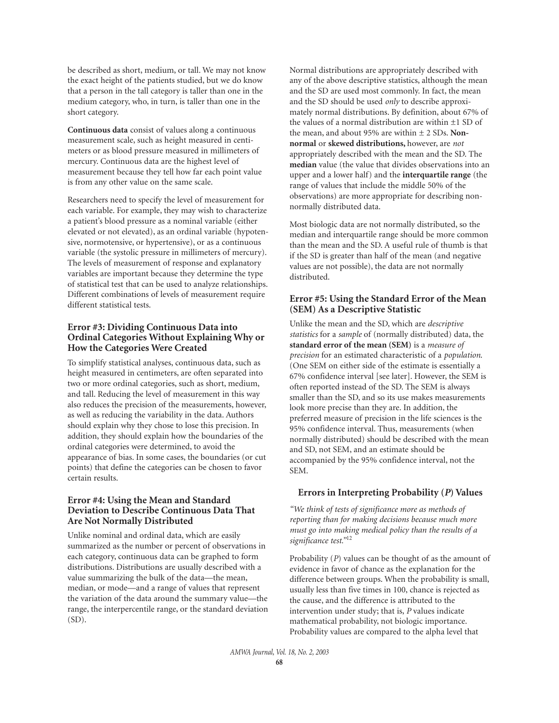be described as short, medium, or tall. We may not know the exact height of the patients studied, but we do know that a person in the tall category is taller than one in the medium category, who, in turn, is taller than one in the short category.

**Continuous data** consist of values along a continuous measurement scale, such as height measured in centimeters or as blood pressure measured in millimeters of mercury. Continuous data are the highest level of measurement because they tell how far each point value is from any other value on the same scale.

Researchers need to specify the level of measurement for each variable. For example, they may wish to characterize a patient's blood pressure as a nominal variable (either elevated or not elevated), as an ordinal variable (hypotensive, normotensive, or hypertensive), or as a continuous variable (the systolic pressure in millimeters of mercury). The levels of measurement of response and explanatory variables are important because they determine the type of statistical test that can be used to analyze relationships. Different combinations of levels of measurement require different statistical tests.

## **Error #3: Dividing Continuous Data into Ordinal Categories Without Explaining Why or How the Categories Were Created**

To simplify statistical analyses, continuous data, such as height measured in centimeters, are often separated into two or more ordinal categories, such as short, medium, and tall. Reducing the level of measurement in this way also reduces the precision of the measurements, however, as well as reducing the variability in the data. Authors should explain why they chose to lose this precision. In addition, they should explain how the boundaries of the ordinal categories were determined, to avoid the appearance of bias. In some cases, the boundaries (or cut points) that define the categories can be chosen to favor certain results.

# **Error #4: Using the Mean and Standard Deviation to Describe Continuous Data That Are Not Normally Distributed**

Unlike nominal and ordinal data, which are easily summarized as the number or percent of observations in each category, continuous data can be graphed to form distributions. Distributions are usually described with a value summarizing the bulk of the data—the mean, median, or mode—and a range of values that represent the variation of the data around the summary value—the range, the interpercentile range, or the standard deviation  $(SD)$ .

Normal distributions are appropriately described with any of the above descriptive statistics, although the mean and the SD are used most commonly. In fact, the mean and the SD should be used *only* to describe approximately normal distributions. By definition, about 67% of the values of a normal distribution are within  $\pm 1$  SD of the mean, and about 95% are within ± 2 SDs. **Nonnormal** or **skewed distributions,** however, are *not* appropriately described with the mean and the SD. The **median** value (the value that divides observations into an upper and a lower half) and the **interquartile range** (the range of values that include the middle 50% of the observations) are more appropriate for describing nonnormally distributed data.

Most biologic data are not normally distributed, so the median and interquartile range should be more common than the mean and the SD. A useful rule of thumb is that if the SD is greater than half of the mean (and negative values are not possible), the data are not normally distributed.

### **Error #5: Using the Standard Error of the Mean (SEM) As a Descriptive Statistic**

Unlike the mean and the SD, which are *descriptive statistics* for a *sample* of (normally distributed) data, the **standard error of the mean (SEM)** is a *measure of precision* for an estimated characteristic of a *population*. (One SEM on either side of the estimate is essentially a 67% confidence interval [see later]. However, the SEM is often reported instead of the SD. The SEM is always smaller than the SD, and so its use makes measurements look more precise than they are. In addition, the preferred measure of precision in the life sciences is the 95% confidence interval. Thus, measurements (when normally distributed) should be described with the mean and SD, not SEM, and an estimate should be accompanied by the 95% confidence interval, not the SEM.

# **Errors in Interpreting Probability (***P***) Values**

*"We think of tests of significance more as methods of reporting than for making decisions because much more must go into making medical policy than the results of a significance test."*<sup>12</sup>

Probability (*P*) values can be thought of as the amount of evidence in favor of chance as the explanation for the difference between groups. When the probability is small, usually less than five times in 100, chance is rejected as the cause, and the difference is attributed to the intervention under study; that is, *P* values indicate mathematical probability, not biologic importance. Probability values are compared to the alpha level that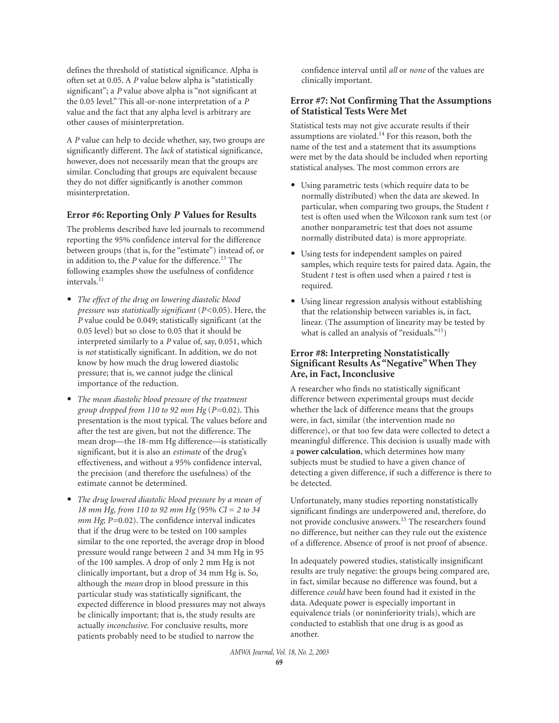defines the threshold of statistical significance. Alpha is often set at 0.05. A *P* value below alpha is "statistically significant"; a *P* value above alpha is "not significant at the 0.05 level." This all-or-none interpretation of a *P* value and the fact that any alpha level is arbitrary are other causes of misinterpretation.

A *P* value can help to decide whether, say, two groups are significantly different. The *lack* of statistical significance, however, does not necessarily mean that the groups are similar. Concluding that groups are equivalent because they do not differ significantly is another common misinterpretation.

#### **Error #6: Reporting Only** *P* **Values for Results**

The problems described have led journals to recommend reporting the 95% confidence interval for the difference between groups (that is, for the "estimate") instead of, or in addition to, the *P* value for the difference.13 The following examples show the usefulness of confidence intervals.<sup>11</sup>

- *The effect of the drug on lowering diastolic blood pressure was statistically significant* (*P*<0.05). Here, the *P* value could be 0.049; statistically significant (at the 0.05 level) but so close to 0.05 that it should be interpreted similarly to a *P* value of, say, 0.051, which is *not* statistically significant. In addition, we do not know by how much the drug lowered diastolic pressure; that is, we cannot judge the clinical importance of the reduction.
- *The mean diastolic blood pressure of the treatment group dropped from 110 to 92 mm Hg* (*P*=0.02). This presentation is the most typical. The values before and after the test are given, but not the difference. The mean drop—the 18-mm Hg difference—is statistically significant, but it is also an *estimate* of the drug's effectiveness, and without a 95% confidence interval, the precision (and therefore the usefulness) of the estimate cannot be determined.
- *The drug lowered diastolic blood pressure by a mean of 18 mm Hg, from 110 to 92 mm Hg* (95% *CI* = *2 to 34 mm Hg*; *P*=0.02). The confidence interval indicates that if the drug were to be tested on 100 samples similar to the one reported, the average drop in blood pressure would range between 2 and 34 mm Hg in 95 of the 100 samples. A drop of only 2 mm Hg is not clinically important, but a drop of 34 mm Hg is. So, although the *mean* drop in blood pressure in this particular study was statistically significant, the expected difference in blood pressures may not always be clinically important; that is, the study results are actually *inconclusive*. For conclusive results, more patients probably need to be studied to narrow the

confidence interval until *all* or *none* of the values are clinically important.

## **Error #7: Not Confirming That the Assumptions of Statistical Tests Were Met**

Statistical tests may not give accurate results if their assumptions are violated.<sup>14</sup> For this reason, both the name of the test and a statement that its assumptions were met by the data should be included when reporting statistical analyses. The most common errors are

- Using parametric tests (which require data to be normally distributed) when the data are skewed. In particular, when comparing two groups, the Student *t* test is often used when the Wilcoxon rank sum test (or another nonparametric test that does not assume normally distributed data) is more appropriate.
- Using tests for independent samples on paired samples, which require tests for paired data. Again, the Student *t* test is often used when a paired *t* test is required.
- Using linear regression analysis without establishing that the relationship between variables is, in fact, linear. (The assumption of linearity may be tested by what is called an analysis of "residuals."<sup>11</sup>)

## **Error #8: Interpreting Nonstatistically Significant Results As "Negative"When They Are, in Fact, Inconclusive**

A researcher who finds no statistically significant difference between experimental groups must decide whether the lack of difference means that the groups were, in fact, similar (the intervention made no difference), or that too few data were collected to detect a meaningful difference. This decision is usually made with a **power calculation**, which determines how many subjects must be studied to have a given chance of detecting a given difference, if such a difference is there to be detected.

Unfortunately, many studies reporting nonstatistically significant findings are underpowered and, therefore, do not provide conclusive answers.15 The researchers found no difference, but neither can they rule out the existence of a difference. Absence of proof is not proof of absence.

In adequately powered studies, statistically insignificant results are truly negative: the groups being compared are, in fact, similar because no difference was found, but a difference *could* have been found had it existed in the data. Adequate power is especially important in equivalence trials (or noninferiority trials), which are conducted to establish that one drug is as good as another.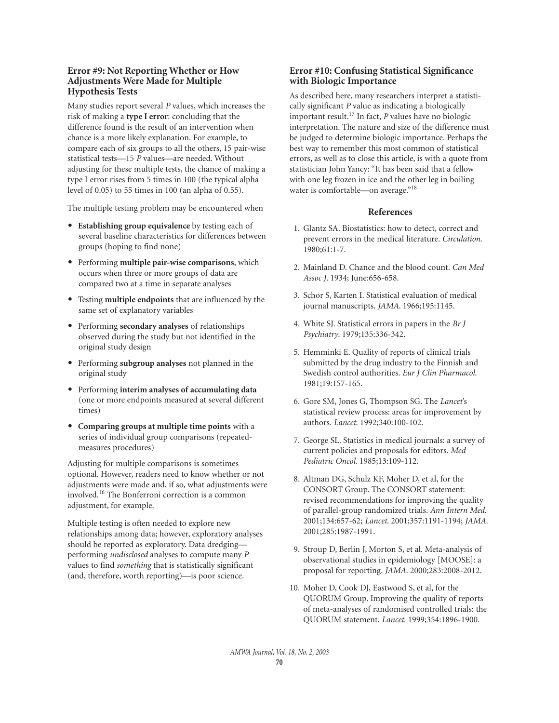# **Error #9: Not Reporting Whether or How Adjustments Were Made for Multiple Hypothesis Tests**

Many studies report several *P* values, which increases the risk of making a **type I error**: concluding that the difference found is the result of an intervention when chance is a more likely explanation. For example, to compare each of six groups to all the others, 15 pair-wise statistical tests—15 *P* values—are needed. Without adjusting for these multiple tests, the chance of making a type I error rises from 5 times in 100 (the typical alpha level of 0.05) to 55 times in 100 (an alpha of 0.55).

The multiple testing problem may be encountered when

- **Establishing group equivalence** by testing each of several baseline characteristics for differences between groups (hoping to find none)
- Performing **multiple pair-wise comparisons**, which occurs when three or more groups of data are compared two at a time in separate analyses
- Testing **multiple endpoints** that are influenced by the same set of explanatory variables
- Performing **secondary analyses** of relationships observed during the study but not identified in the original study design
- Performing **subgroup analyses** not planned in the original study
- Performing **interim analyses of accumulating data** (one or more endpoints measured at several different times)
- **Comparing groups at multiple time points** with a series of individual group comparisons (repeatedmeasures procedures)

Adjusting for multiple comparisons is sometimes optional. However, readers need to know whether or not adjustments were made and, if so, what adjustments were involved.<sup>16</sup> The Bonferroni correction is a common adjustment, for example.

Multiple testing is often needed to explore new relationships among data; however, exploratory analyses should be reported as exploratory. Data dredging performing *undisclosed* analyses to compute many *P* values to find *something* that is statistically significant (and, therefore, worth reporting)—is poor science.

# **Error #10: Confusing Statistical Significance with Biologic Importance**

As described here, many researchers interpret a statistically significant *P* value as indicating a biologically important result.<sup>17</sup> In fact, *P* values have no biologic interpretation. The nature and size of the difference must be judged to determine biologic importance. Perhaps the best way to remember this most common of statistical errors, as well as to close this article, is with a quote from statistician John Yancy: "It has been said that a fellow with one leg frozen in ice and the other leg in boiling water is comfortable—on average."<sup>18</sup>

## **References**

- 1. Glantz SA. Biostatistics: how to detect, correct and prevent errors in the medical literature. *Circulation*. 1980;61:1-7.
- 2. Mainland D. Chance and the blood count. *Can Med Assoc J*. 1934; June:656-658.
- 3. Schor S, Karten I. Statistical evaluation of medical journal manuscripts. *JAMA*. 1966;195:1145.
- 4. White SJ. Statistical errors in papers in the *Br J Psychiatry*. 1979;135:336-342.
- 5. Hemminki E. Quality of reports of clinical trials submitted by the drug industry to the Finnish and Swedish control authorities. *Eur J Clin Pharmacol*. 1981;19:157-165.
- 6. Gore SM, Jones G, Thompson SG. The *Lancet*'s statistical review process: areas for improvement by authors. *Lancet*. 1992;340:100-102.
- 7. George SL. Statistics in medical journals: a survey of current policies and proposals for editors. *Med Pediatric Oncol*. 1985;13:109-112.
- 8. Altman DG, Schulz KF, Moher D, et al, for the CONSORT Group. The CONSORT statement: revised recommendations for improving the quality of parallel-group randomized trials. *Ann Intern Med*. 2001;134:657-62; *Lancet*. 2001;357:1191-1194; *JAMA*. 2001;285:1987-1991.
- 9. Stroup D, Berlin J, Morton S, et al. Meta-analysis of observational studies in epidemiology [MOOSE]: a proposal for reporting. *JAMA*. 2000;283:2008-2012.
- 10. Moher D, Cook DJ, Eastwood S, et al, for the QUORUM Group. Improving the quality of reports of meta-analyses of randomised controlled trials: the QUORUM statement. *Lancet*. 1999;354:1896-1900.